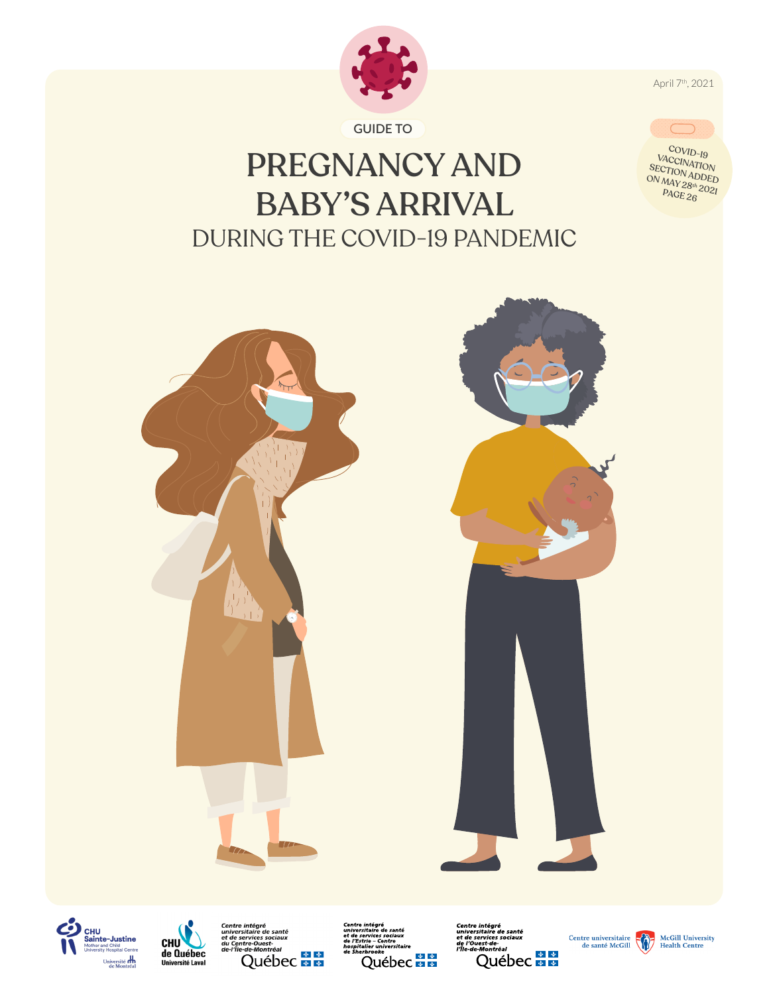

**GUIDE TO**

# PREGNANCY AND BABY'S ARRIVAL DURING THE COVID-19 PANDEMIC









**Centre intégré<br>universitaire de santé<br>et de services sociaux<br>de l'Estrie – Centre<br>hospitalier universitaire<br>de Sherbrooke** Québec **HE**  *Centre intégré<br>universitaire de santé<br>et de services sociaux<br>de l'Ouest-de-<br>l'Île-de-Montréal* e-<sub>Montréal</sub><br>Québec **le la** 





April 7th, 2021



COVID-19 VACCINATION<br>SECTION ADDED<br>ON MAVARDDED ON MAY 28th 2021<br>PAGE 26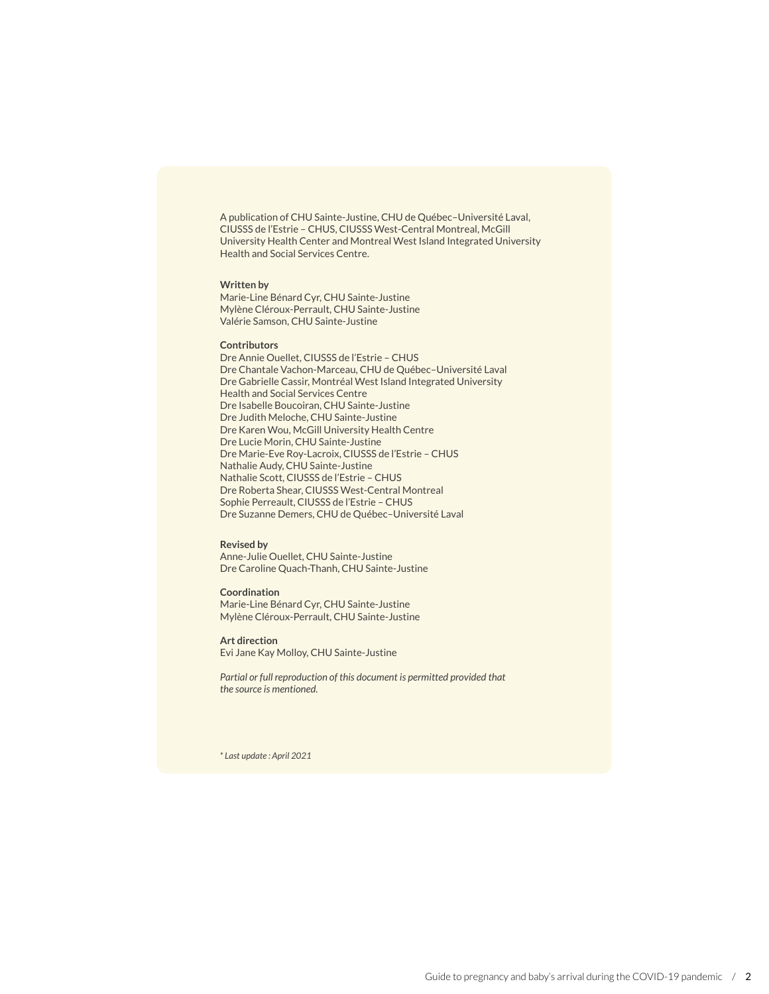A publication of CHU Sainte-Justine, CHU de Québec–Université Laval, CIUSSS de l'Estrie – CHUS, CIUSSS West-Central Montreal, McGill University Health Center and Montreal West Island Integrated University Health and Social Services Centre.

#### **Written by**

Marie-Line Bénard Cyr, CHU Sainte-Justine Mylène Cléroux-Perrault, CHU Sainte-Justine Valérie Samson, CHU Sainte-Justine

#### **Contributors**

Dre Annie Ouellet, CIUSSS de l'Estrie – CHUS Dre Chantale Vachon-Marceau, CHU de Québec–Université Laval Dre Gabrielle Cassir, Montréal West Island Integrated University Health and Social Services Centre Dre Isabelle Boucoiran, CHU Sainte-Justine Dre Judith Meloche, CHU Sainte-Justine Dre Karen Wou, McGill University Health Centre Dre Lucie Morin, CHU Sainte-Justine Dre Marie-Eve Roy-Lacroix, CIUSSS de l'Estrie – CHUS Nathalie Audy, CHU Sainte-Justine Nathalie Scott, CIUSSS de l'Estrie – CHUS Dre Roberta Shear, CIUSSS West-Central Montreal Sophie Perreault, CIUSSS de l'Estrie – CHUS Dre Suzanne Demers, CHU de Québec–Université Laval

#### **Revised by**

Anne-Julie Ouellet, CHU Sainte-Justine Dre Caroline Quach-Thanh, CHU Sainte-Justine

#### **Coordination**

Marie-Line Bénard Cyr, CHU Sainte-Justine Mylène Cléroux-Perrault, CHU Sainte-Justine

#### **Art direction** Evi Jane Kay Molloy, CHU Sainte-Justine

*Partial or full reproduction of this document is permitted provided that the source is mentioned.*

*\* Last update : April 2021*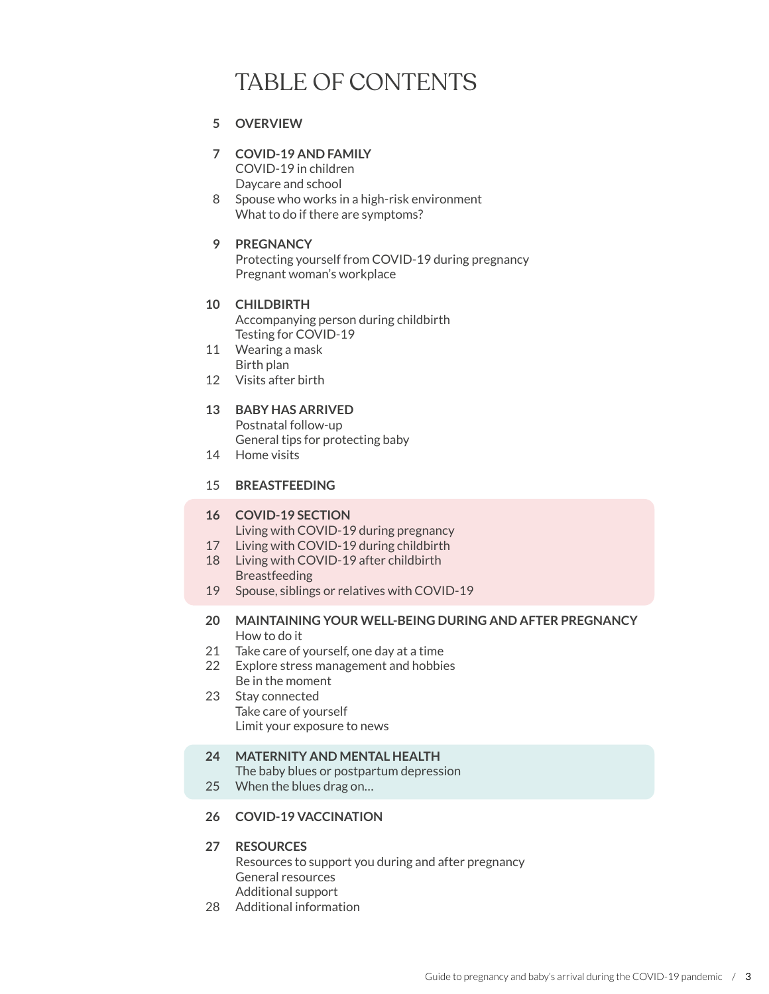## TABLE OF CONTENTS

#### **OVERVIEW 5**

- **COVID-19 AND FAMILY 7** COVID-19 in children Daycare and school
- 8 Spouse who works in a high-risk environment What to do if there are symptoms?

#### **PREGNANCY 9**

Protecting yourself from COVID-19 during pregnancy Pregnant woman's workplace

#### **CHILDBIRTH 10** Accompanying person during childbirth Testing for COVID-19

- Wearing a mask 11 Birth plan
- Visits after birth 12

#### **BABY HAS ARRIVED 13**

Postnatal follow-up General tips for protecting baby

14 Home visits

#### **BREASTFEEDING** 15

#### **COVID-19 SECTION 16**

Living with COVID-19 during pregnancy

- 17 Living with COVID-19 during childbirth
- 18 Living with COVID-19 after childbirth Breastfeeding
- 19 Spouse, siblings or relatives with COVID-19

#### **MAINTAINING YOUR WELL-BEING DURING AND AFTER PREGNANCY 20** How to do it

- 21 Take care of yourself, one day at a time
- Explore stress management and hobbies 22 Be in the moment
- 23 Stay connected Take care of yourself Limit your exposure to news

#### **MATERNITY AND MENTAL HEALTH 24**

The baby blues or postpartum depression

- When the blues drag on… 25
- **COVID-19 VACCINATION 26**

#### **RESOURCES 27**

Resources to support you during and after pregnancy General resources Additional support

28 Additional information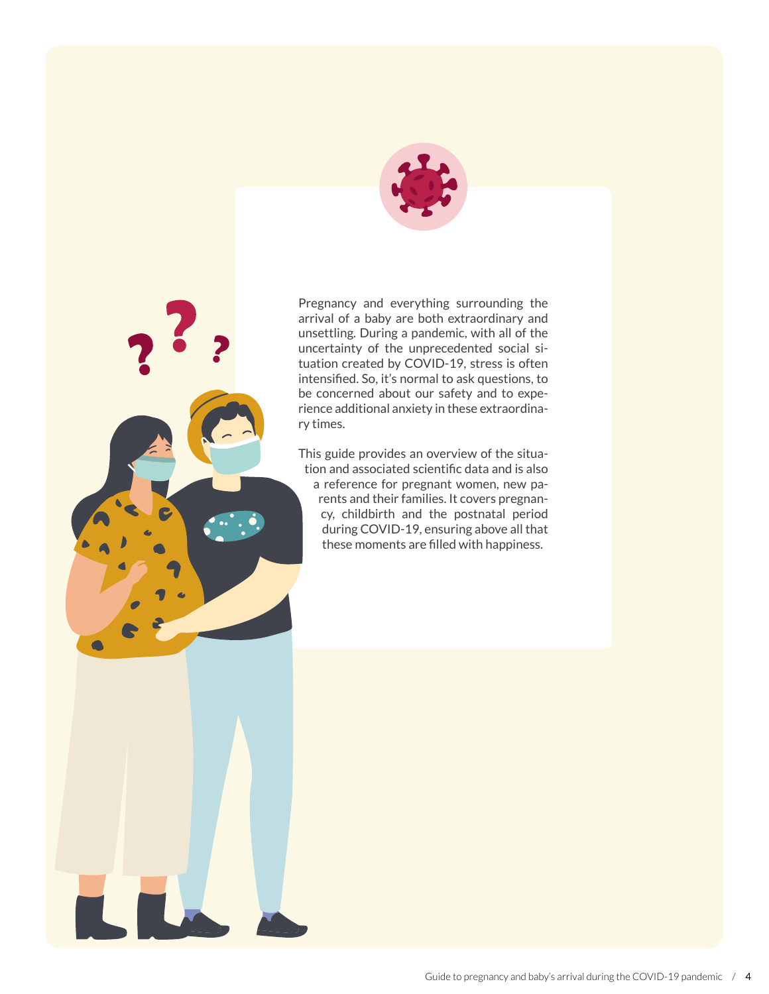

Pregnancy and everything surrounding the arrival of a baby are both extraordinary and unsettling. During a pandemic, with all of the uncertainty of the unprecedented social situation created by COVID-19, stress is often intensified. So, it's normal to ask questions, to be concerned about our safety and to experience additional anxiety in these extraordinary times.

This guide provides an overview of the situation and associated scientific data and is also a reference for pregnant women, new parents and their families. It covers pregnancy, childbirth and the postnatal period during COVID-19, ensuring above all that these moments are filled with happiness.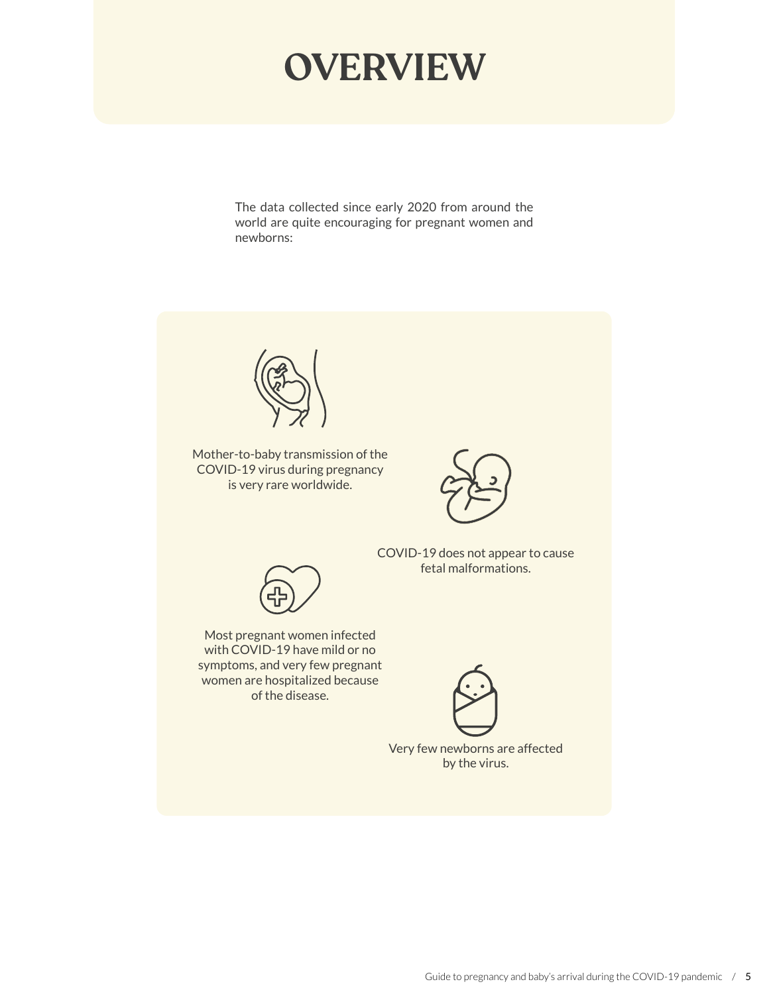# **OVERVIEW**

The data collected since early 2020 from around the world are quite encouraging for pregnant women and newborns:

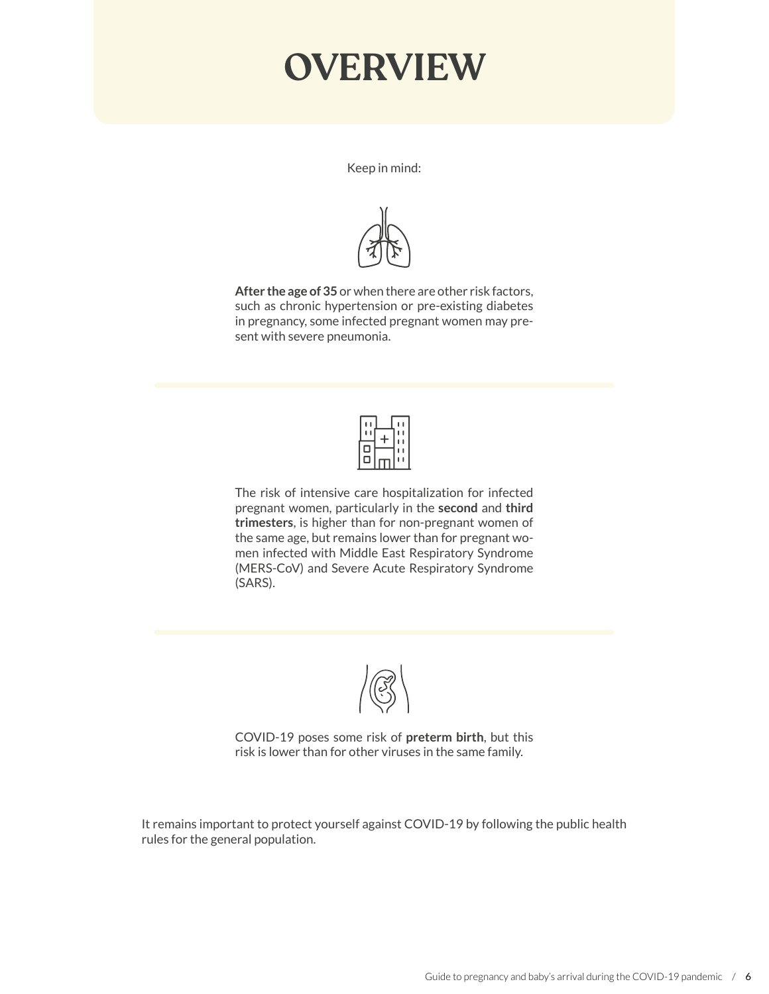# **OVERVIEW**

Keep in mind:



**After the age of 35** or when there are other risk factors, such as chronic hypertension or pre-existing diabetes in pregnancy, some infected pregnant women may present with severe pneumonia.



The risk of intensive care hospitalization for infected pregnant women, particularly in the **second** and **third trimesters**, is higher than for non-pregnant women of the same age, but remains lower than for pregnant women infected with Middle East Respiratory Syndrome (MERS-CoV) and Severe Acute Respiratory Syndrome (SARS).



COVID-19 poses some risk of **preterm birth**, but this risk is lower than for other viruses in the same family.

It remains important to protect yourself against COVID-19 by following the public health rules for the general population.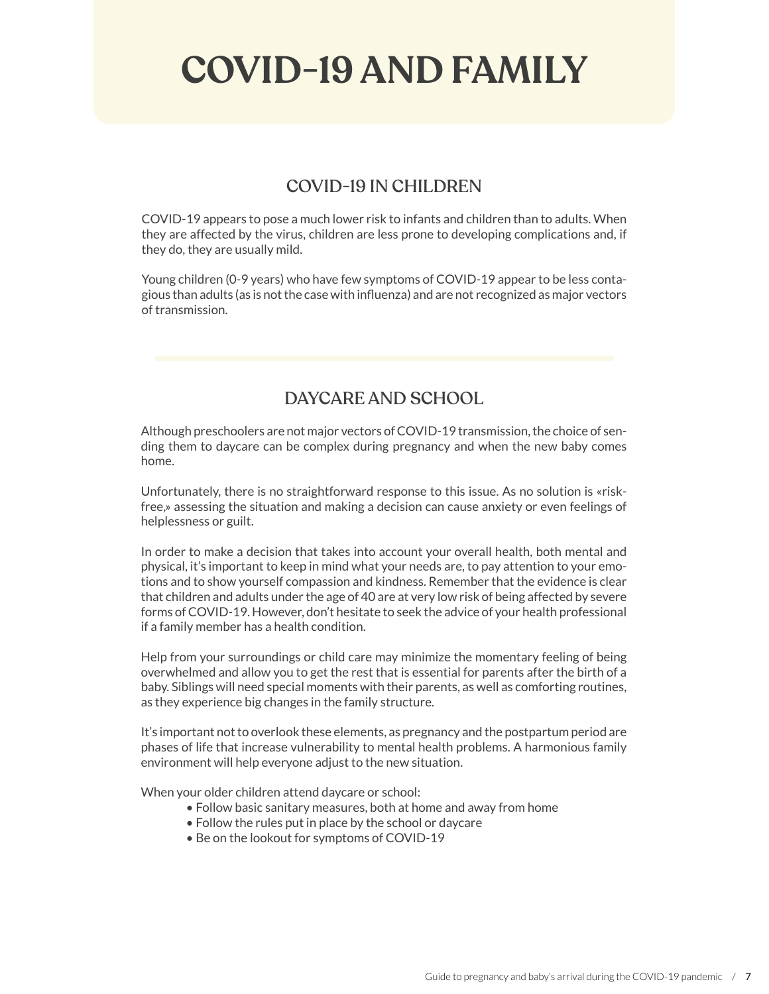# **COVID-19 AND FAMILY**

#### COVID-19 IN CHILDREN

COVID-19 appears to pose a much lower risk to infants and children than to adults. When they are affected by the virus, children are less prone to developing complications and, if they do, they are usually mild.

Young children (0-9 years) who have few symptoms of COVID-19 appear to be less contagious than adults (as is not the case with influenza) and are not recognized as major vectors of transmission.

### DAYCARE AND SCHOOL

Although preschoolers are not major vectors of COVID-19 transmission, the choice of sending them to daycare can be complex during pregnancy and when the new baby comes home.

Unfortunately, there is no straightforward response to this issue. As no solution is «riskfree,» assessing the situation and making a decision can cause anxiety or even feelings of helplessness or guilt.

In order to make a decision that takes into account your overall health, both mental and physical, it's important to keep in mind what your needs are, to pay attention to your emotions and to show yourself compassion and kindness. Remember that the evidence is clear that children and adults under the age of 40 are at very low risk of being affected by severe forms of COVID-19. However, don't hesitate to seek the advice of your health professional if a family member has a health condition.

Help from your surroundings or child care may minimize the momentary feeling of being overwhelmed and allow you to get the rest that is essential for parents after the birth of a baby. Siblings will need special moments with their parents, as well as comforting routines, as they experience big changes in the family structure.

It's important not to overlook these elements, as pregnancy and the postpartum period are phases of life that increase vulnerability to mental health problems. A harmonious family environment will help everyone adjust to the new situation.

When your older children attend daycare or school:

- Follow basic sanitary measures, both at home and away from home
- Follow the rules put in place by the school or daycare
- Be on the lookout for symptoms of COVID-19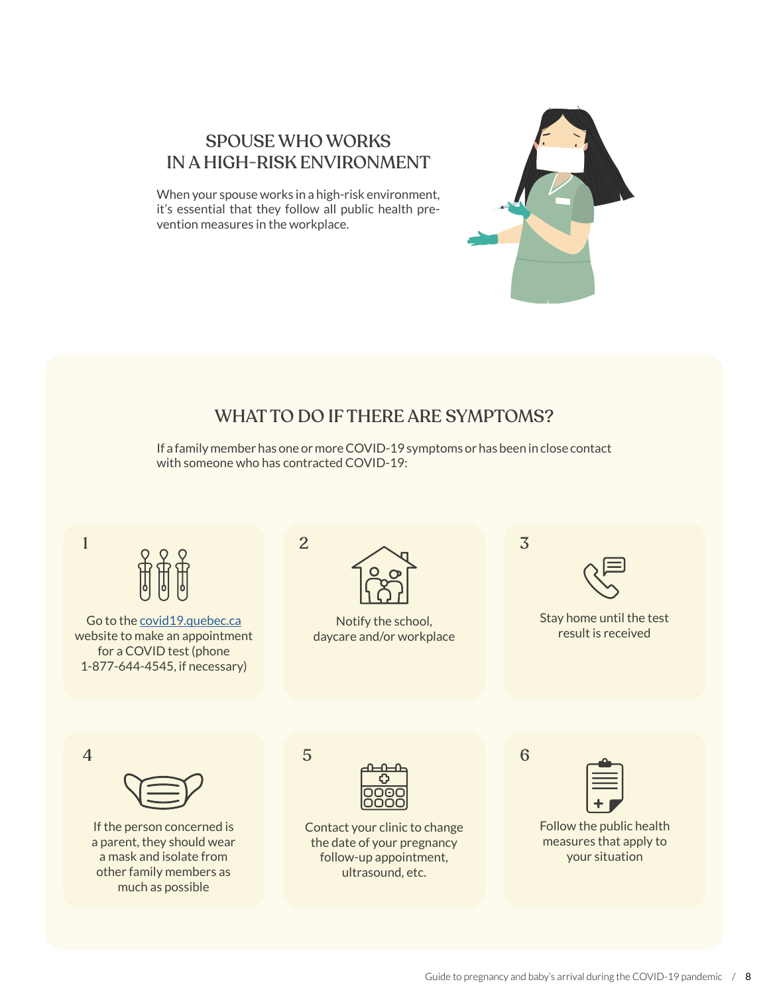### SPOUSE WHO WORKS IN A HIGH-RISK ENVIRONMENT

When your spouse works in a high-risk environment, it's essential that they follow all public health prevention measures in the workplace.

## WHAT TO DO IF THERE ARE SYMPTOMS?

If a family member has one or more COVID-19 symptoms or has been in close contact with someone who has contracted COVID-19:

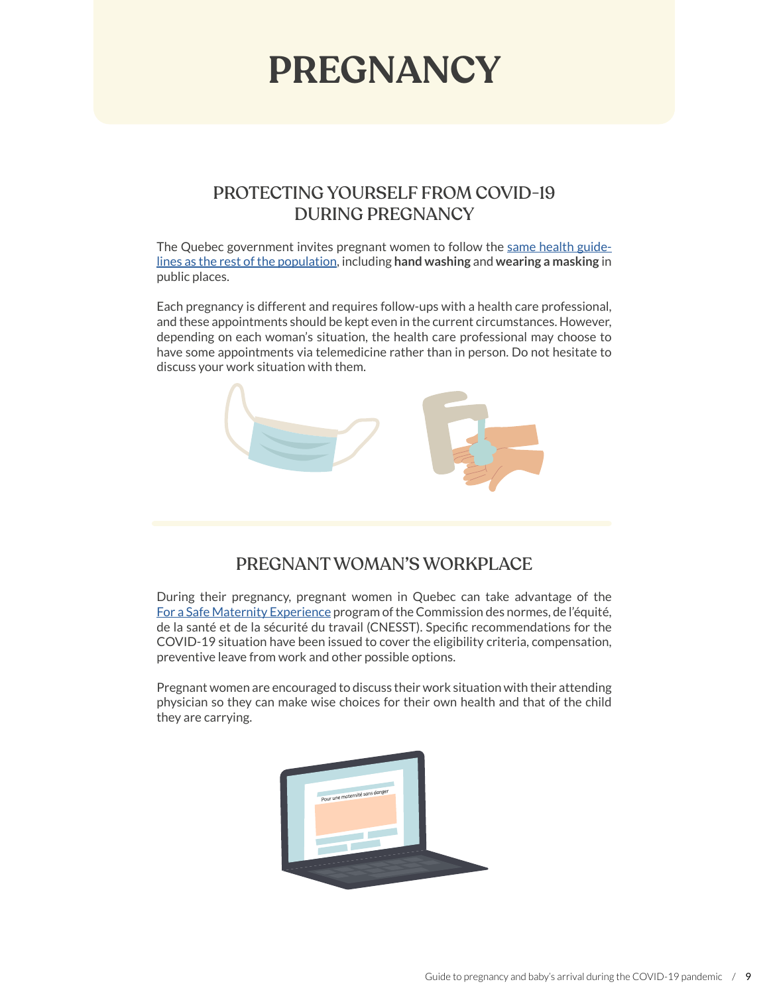# **PREGNANCY**

### PROTECTING YOURSELF FROM COVID-19 DURING PREGNANCY

The Quebec government invites pregnant women to follow the [same health guide](https://www.quebec.ca/en/health/health-issues/a-z/2019-coronavirus/information-for-pregnant-women-coronavirus-covid-19/)[lines as the rest of the population](https://www.quebec.ca/en/health/health-issues/a-z/2019-coronavirus/information-for-pregnant-women-coronavirus-covid-19/), including **hand washing** and **wearing a masking** in public places.

Each pregnancy is different and requires follow-ups with a health care professional, and these appointments should be kept even in the current circumstances. However, depending on each woman's situation, the health care professional may choose to have some appointments via telemedicine rather than in person. Do not hesitate to discuss your work situation with them.



### PREGNANT WOMAN'S WORKPLACE

During their pregnancy, pregnant women in Quebec can take advantage of the [For a Safe Maternity Experience](https://www.cnesst.gouv.qc.ca/en/prevention-and-safety/healthy-workplace/safe-maternity-experience-program) program of the Commission des normes, de l'équité, de la santé et de la sécurité du travail (CNESST). Specific recommendations for the COVID-19 situation have been issued to cover the eligibility criteria, compensation, preventive leave from work and other possible options.

Pregnant women are encouraged to discuss their work situation with their attending physician so they can make wise choices for their own health and that of the child they are carrying.

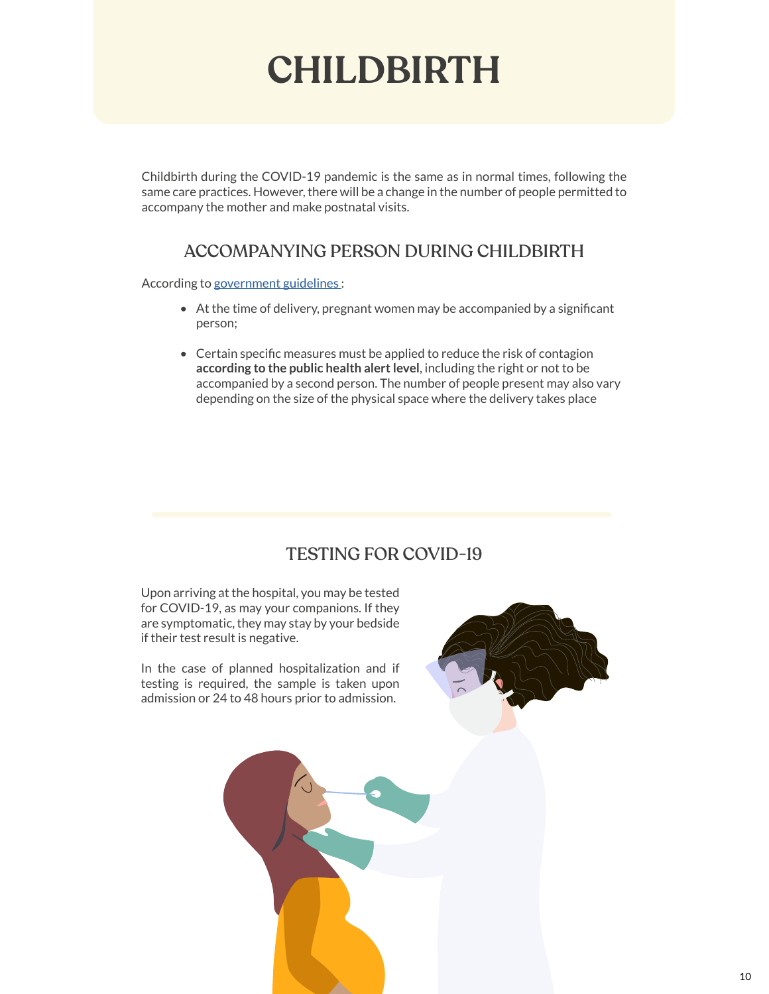# **CHILDBIRTH**

Childbirth during the COVID-19 pandemic is the same as in normal times, following the same care practices. However, there will be a change in the number of people permitted to accompany the mother and make postnatal visits.

#### ACCOMPANYING PERSON DURING CHILDBIRTH

According to [government guidelines :](https://publications.msss.gouv.qc.ca/msss/fichiers/directives-covid/dgppfc-010-rev2_pj_plan-2e-vague-mere-enfant.pdf)

- At the time of delivery, pregnant women may be accompanied by a significant person;
- Certain specific measures must be applied to reduce the risk of contagion **according to the public health alert level**, including the right or not to be accompanied by a second person. The number of people present may also vary depending on the size of the physical space where the delivery takes place

## TESTING FOR COVID-19

Upon arriving at the hospital, you may be tested for COVID-19, as may your companions. If they are symptomatic, they may stay by your bedside if their test result is negative.

In the case of planned hospitalization and if testing is required, the sample is taken upon admission or 24 to 48 hours prior to admission.



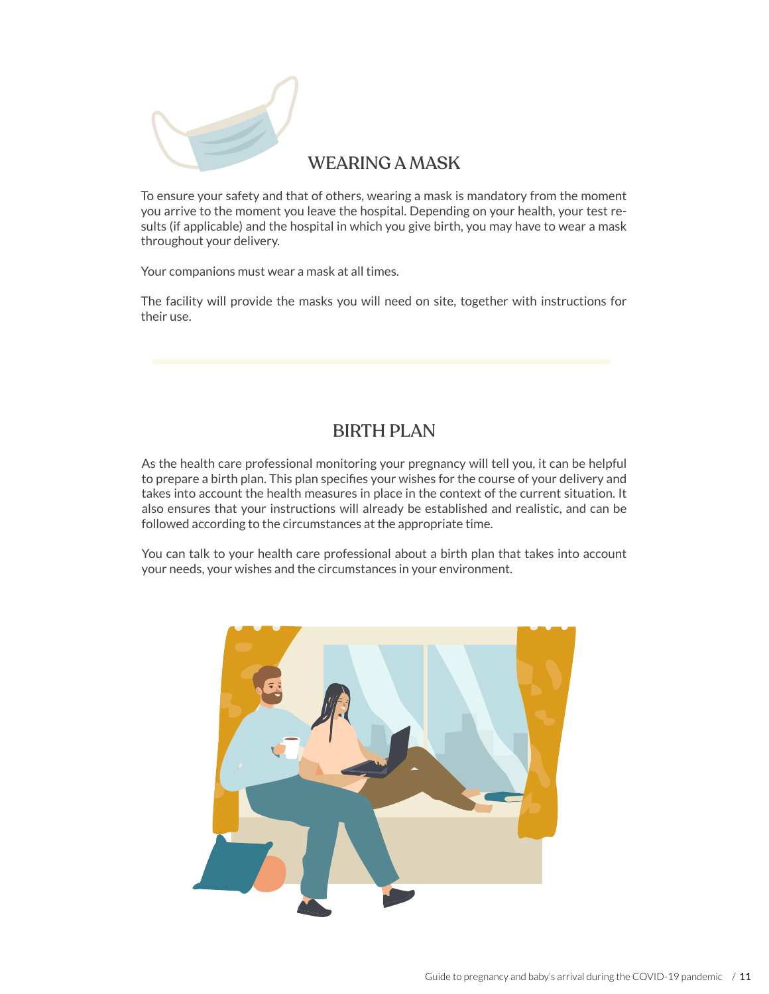

#### WEARING A MASK

To ensure your safety and that of others, wearing a mask is mandatory from the moment you arrive to the moment you leave the hospital. Depending on your health, your test results (if applicable) and the hospital in which you give birth, you may have to wear a mask throughout your delivery.

Your companions must wear a mask at all times.

The facility will provide the masks you will need on site, together with instructions for their use.

#### BIRTH PLAN

As the health care professional monitoring your pregnancy will tell you, it can be helpful to prepare a birth plan. This plan specifies your wishes for the course of your delivery and takes into account the health measures in place in the context of the current situation. It also ensures that your instructions will already be established and realistic, and can be followed according to the circumstances at the appropriate time.

You can talk to your health care professional about a birth plan that takes into account your needs, your wishes and the circumstances in your environment.

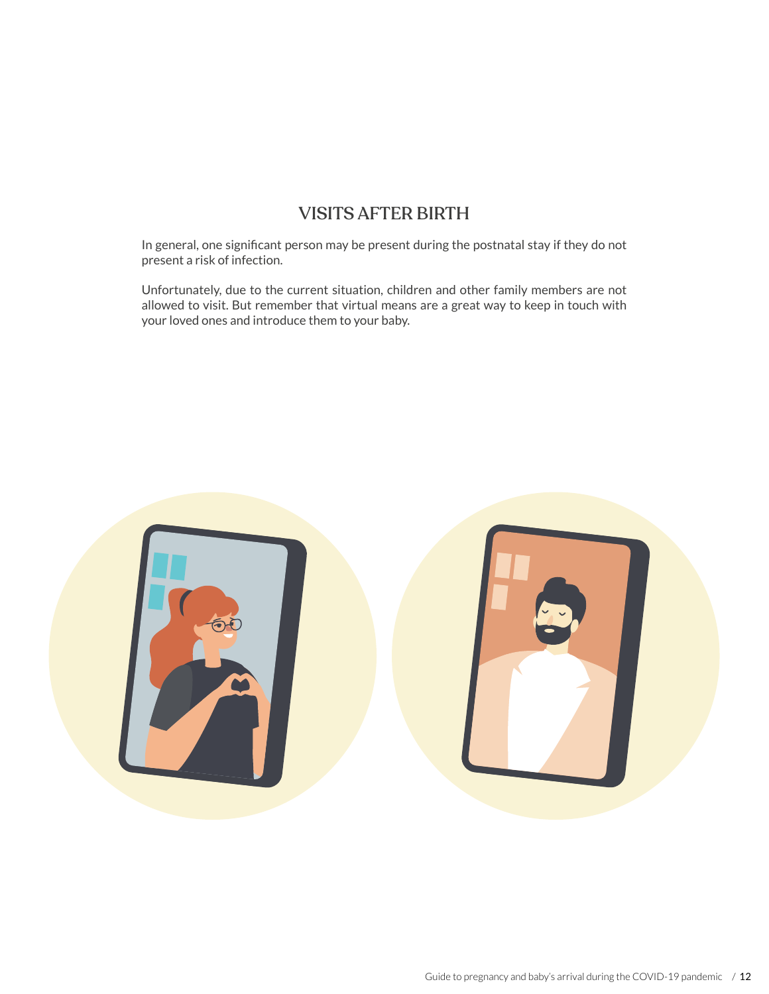### VISITS AFTER BIRTH

In general, one significant person may be present during the postnatal stay if they do not present a risk of infection.

Unfortunately, due to the current situation, children and other family members are not allowed to visit. But remember that virtual means are a great way to keep in touch with your loved ones and introduce them to your baby.

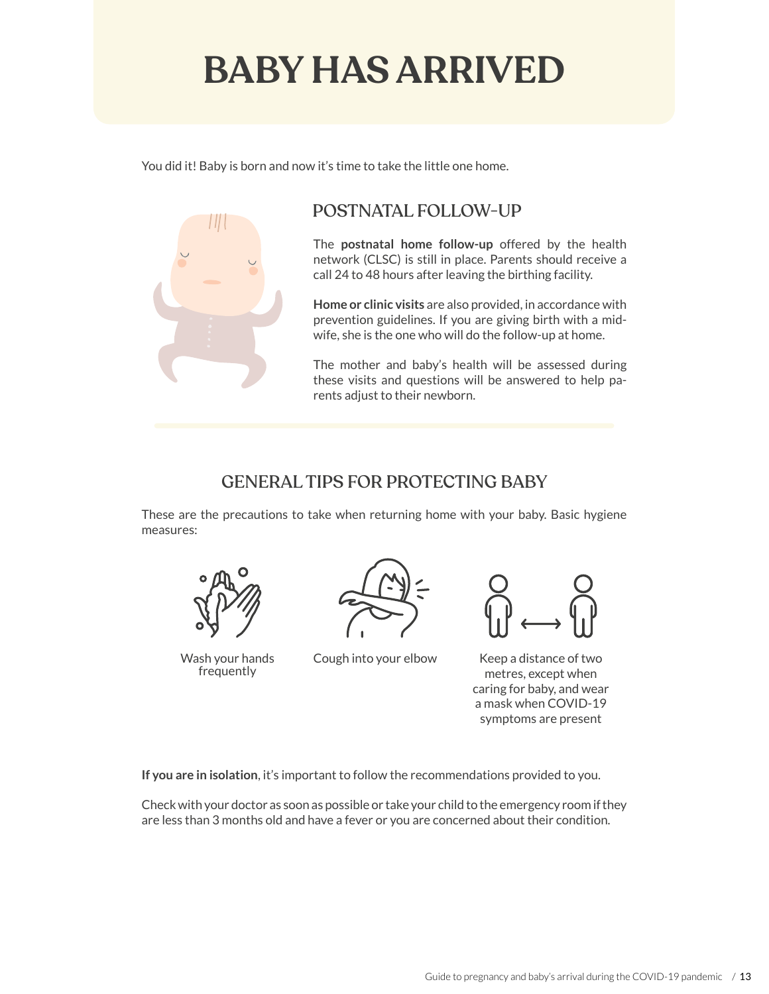# **BABY HAS ARRIVED**

You did it! Baby is born and now it's time to take the little one home.



## POSTNATAL FOLLOW-UP

The **postnatal home follow-up** offered by the health network (CLSC) is still in place. Parents should receive a call 24 to 48 hours after leaving the birthing facility.

**Home or clinic visits** are also provided, in accordance with prevention guidelines. If you are giving birth with a midwife, she is the one who will do the follow-up at home.

The mother and baby's health will be assessed during these visits and questions will be answered to help parents adjust to their newborn.

## GENERAL TIPS FOR PROTECTING BABY

These are the precautions to take when returning home with your baby. Basic hygiene measures:



frequently



Wash your hands Cough into your elbow



Keep a distance of two metres, except when caring for baby, and wear a mask when COVID-19 symptoms are present

**If you are in isolation**, it's important to follow the recommendations provided to you.

Check with your doctor as soon as possible or take your child to the emergency room if they are less than 3 months old and have a fever or you are concerned about their condition.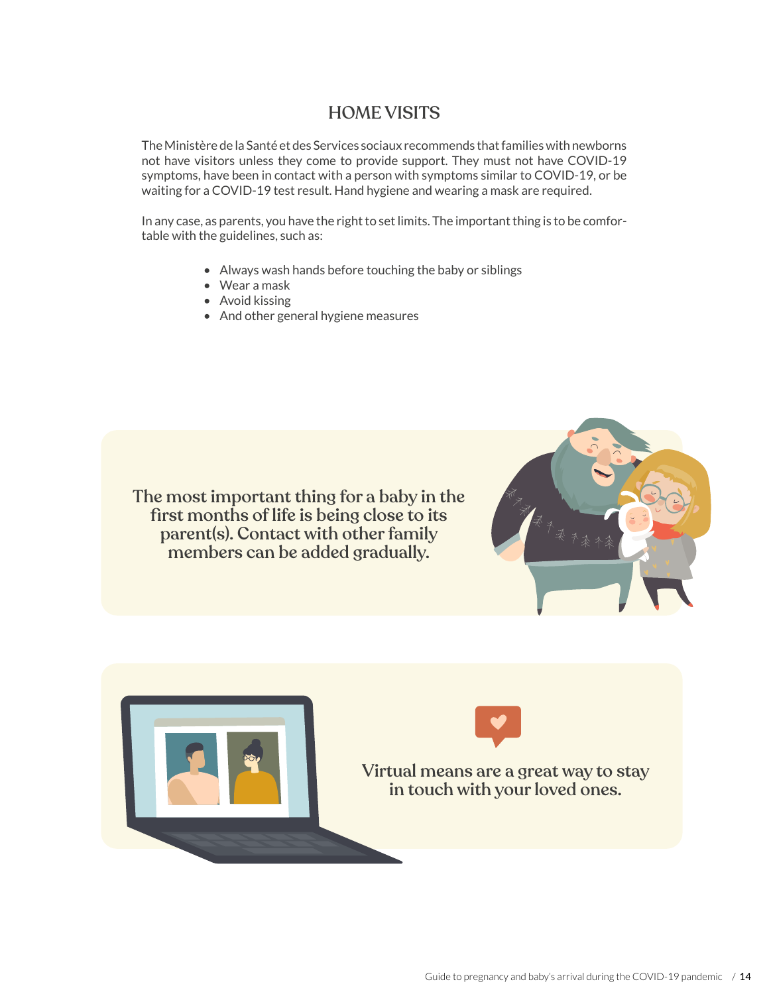#### HOME VISITS

The Ministère de la Santé et des Services sociaux recommends that families with newborns not have visitors unless they come to provide support. They must not have COVID-19 symptoms, have been in contact with a person with symptoms similar to COVID-19, or be waiting for a COVID-19 test result. Hand hygiene and wearing a mask are required.

In any case, as parents, you have the right to set limits. The important thing is to be comfortable with the guidelines, such as:

- Always wash hands before touching the baby or siblings
- Wear a mask
- Avoid kissing
- And other general hygiene measures

The most important thing for a baby in the first months of life is being close to its parent(s). Contact with other family members can be added gradually.



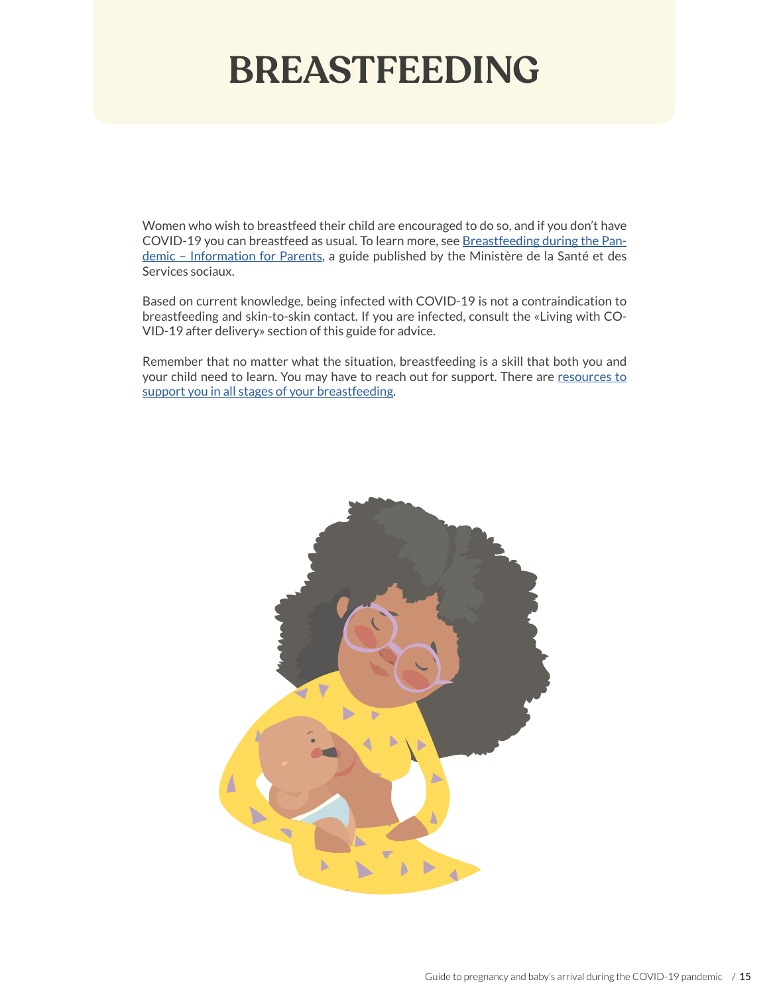# **BREASTFEEDING**

Women who wish to breastfeed their child are encouraged to do so, and if you don't have COVID-19 you can breastfeed as usual. To learn more, see [Breastfeeding during the Pan](https://publications.msss.gouv.qc.ca/msss/en/document-002537/)[demic – Information for Parents,](https://publications.msss.gouv.qc.ca/msss/en/document-002537/) a guide published by the Ministère de la Santé et des Services sociaux.

Based on current knowledge, being infected with COVID-19 is not a contraindication to breastfeeding and skin-to-skin contact. If you are infected, consult the «Living with CO-VID-19 after delivery» section of this guide for advice.

Remember that no matter what the situation, breastfeeding is a skill that both you and your child need to learn. You may have to reach out for support. There are [resources to](https://mouvementallaitement.org/ressources/quebec/#communautaires) [support you in all stages of your breastfeeding](https://mouvementallaitement.org/ressources/quebec/#communautaires).

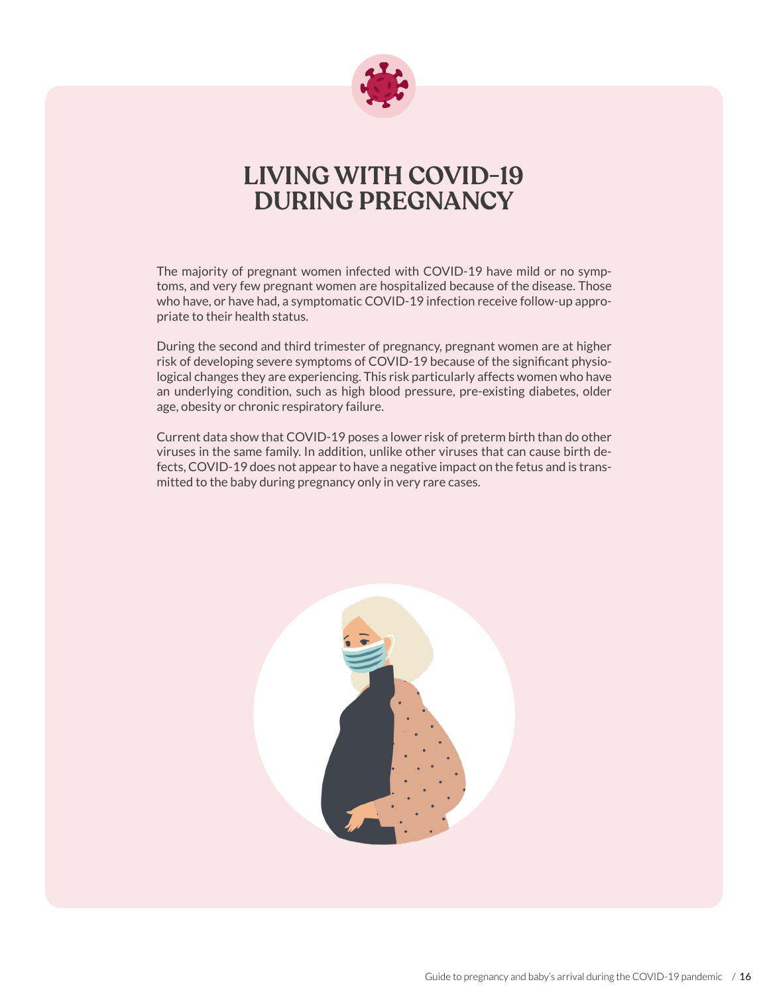

## **LIVING WITH COVID-19 DURING PREGNANCY**

The majority of pregnant women infected with COVID-19 have mild or no symptoms, and very few pregnant women are hospitalized because of the disease. Those who have, or have had, a symptomatic COVID-19 infection receive follow-up appropriate to their health status.

During the second and third trimester of pregnancy, pregnant women are at higher risk of developing severe symptoms of COVID-19 because of the significant physiological changes they are experiencing. This risk particularly affects women who have an underlying condition, such as high blood pressure, pre-existing diabetes, older age, obesity or chronic respiratory failure.

Current data show that COVID-19 poses a lower risk of preterm birth than do other viruses in the same family. In addition, unlike other viruses that can cause birth defects, COVID-19 does not appear to have a negative impact on the fetus and is transmitted to the baby during pregnancy only in very rare cases.

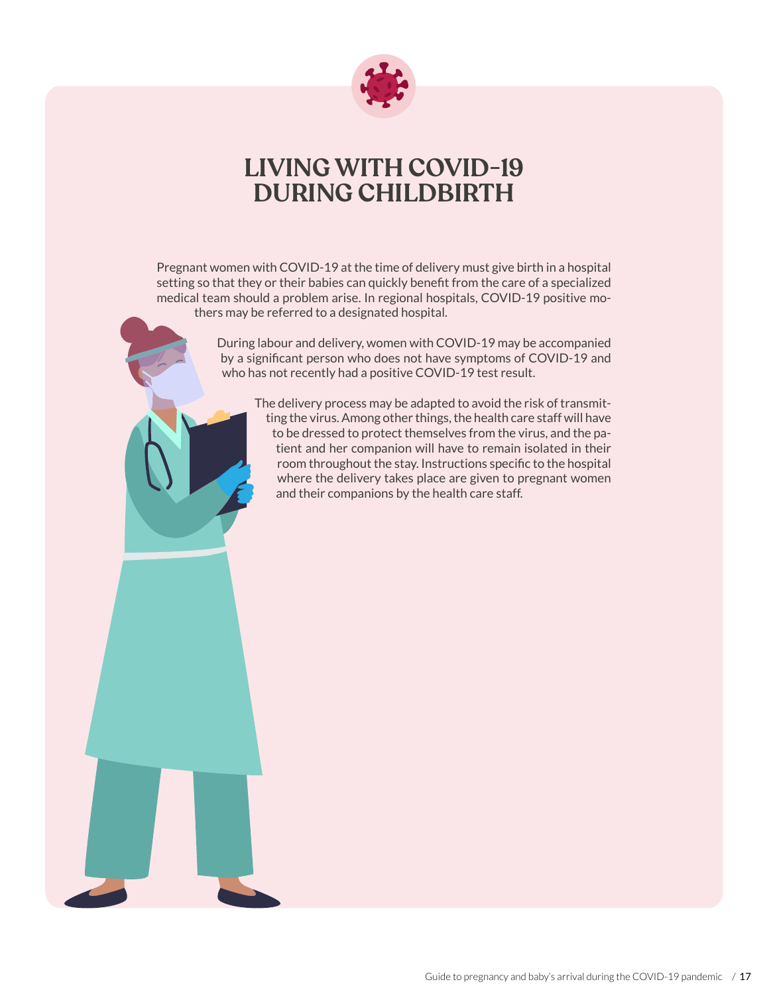

## **LIVING WITH COVID-19 DURING CHILDBIRTH**

Pregnant women with COVID-19 at the time of delivery must give birth in a hospital setting so that they or their babies can quickly benefit from the care of a specialized medical team should a problem arise. In regional hospitals, COVID-19 positive mothers may be referred to a designated hospital.

> During labour and delivery, women with COVID-19 may be accompanied by a significant person who does not have symptoms of COVID-19 and who has not recently had a positive COVID-19 test result.

The delivery process may be adapted to avoid the risk of transmitting the virus. Among other things, the health care staff will have to be dressed to protect themselves from the virus, and the patient and her companion will have to remain isolated in their room throughout the stay. Instructions specific to the hospital where the delivery takes place are given to pregnant women and their companions by the health care staff.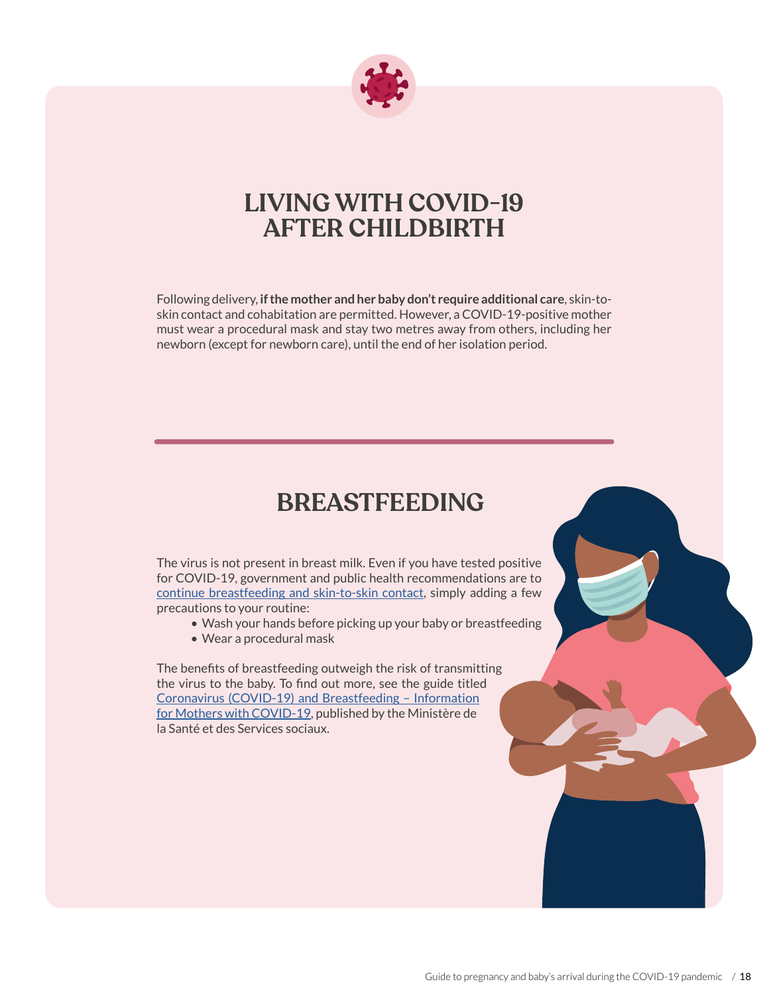

## **LIVING WITH COVID-19 AFTER CHILDBIRTH**

Following delivery, **if the mother and her baby don't require additional care**, skin-toskin contact and cohabitation are permitted. However, a COVID-19-positive mother must wear a procedural mask and stay two metres away from others, including her newborn (except for newborn care), until the end of her isolation period.

## **BREASTFEEDING**

The virus is not present in breast milk. Even if you have tested positive for COVID-19, government and public health recommendations are to [continue breastfeeding and skin-to-skin contact](https://publications.msss.gouv.qc.ca/msss/en/document-002537/), simply adding a few precautions to your routine:

- Wash your hands before picking up your baby or breastfeeding
- Wear a procedural mask

The benefits of breastfeeding outweigh the risk of transmitting the virus to the baby. To find out more, see the guide titled [Coronavirus \(COVID-19\) and Breastfeeding – Information](https://publications.msss.gouv.qc.ca/msss/en/document-002537/)  [for Mothers with COVID-19,](https://publications.msss.gouv.qc.ca/msss/en/document-002537/) published by the Ministère de la Santé et des Services sociaux.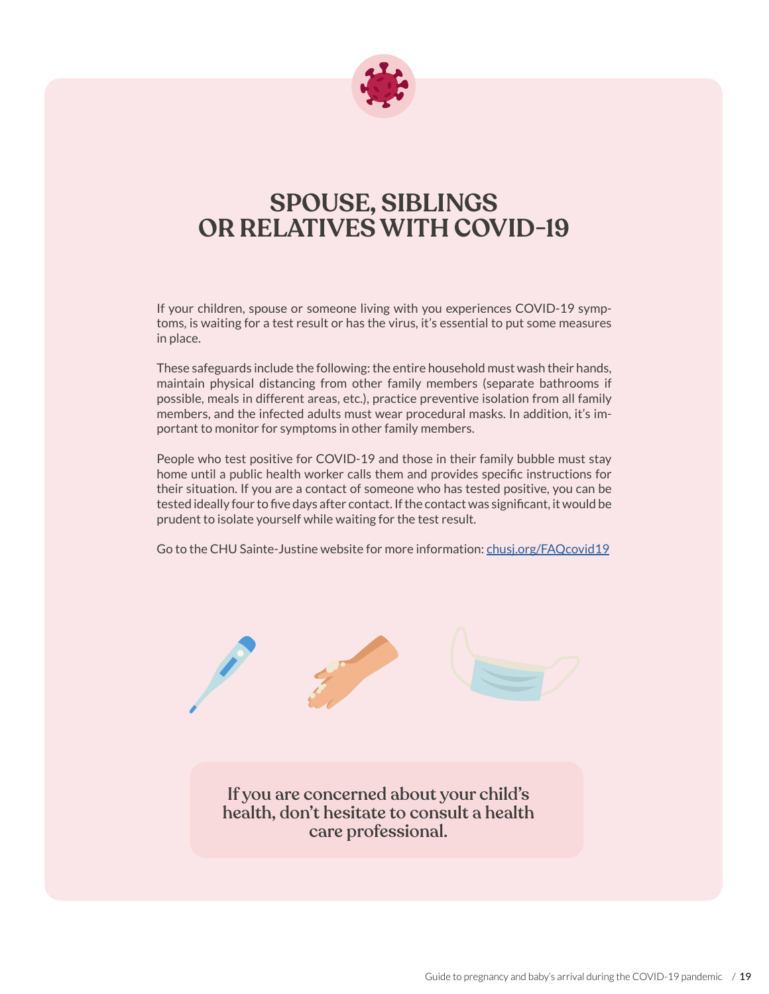

## **SPOUSE, SIBLINGS OR RELATIVES WITH COVID-19**

If your children, spouse or someone living with you experiences COVID-19 symptoms, is waiting for a test result or has the virus, it's essential to put some measures in place.

These safeguards include the following: the entire household must wash their hands, maintain physical distancing from other family members (separate bathrooms if possible, meals in different areas, etc.), practice preventive isolation from all family members, and the infected adults must wear procedural masks. In addition, it's important to monitor for symptoms in other family members.

People who test positive for COVID-19 and those in their family bubble must stay home until a public health worker calls them and provides specific instructions for their situation. If you are a contact of someone who has tested positive, you can be tested ideally four to five days after contact. If the contact was significant, it would be prudent to isolate yourself while waiting for the test result.

Go to the CHU Sainte-Justine website for more information: [chusj.org/FAQcovid19](https://www.chusj.org/en/soins-services/C/COVID-19/FAQ/covid-19)

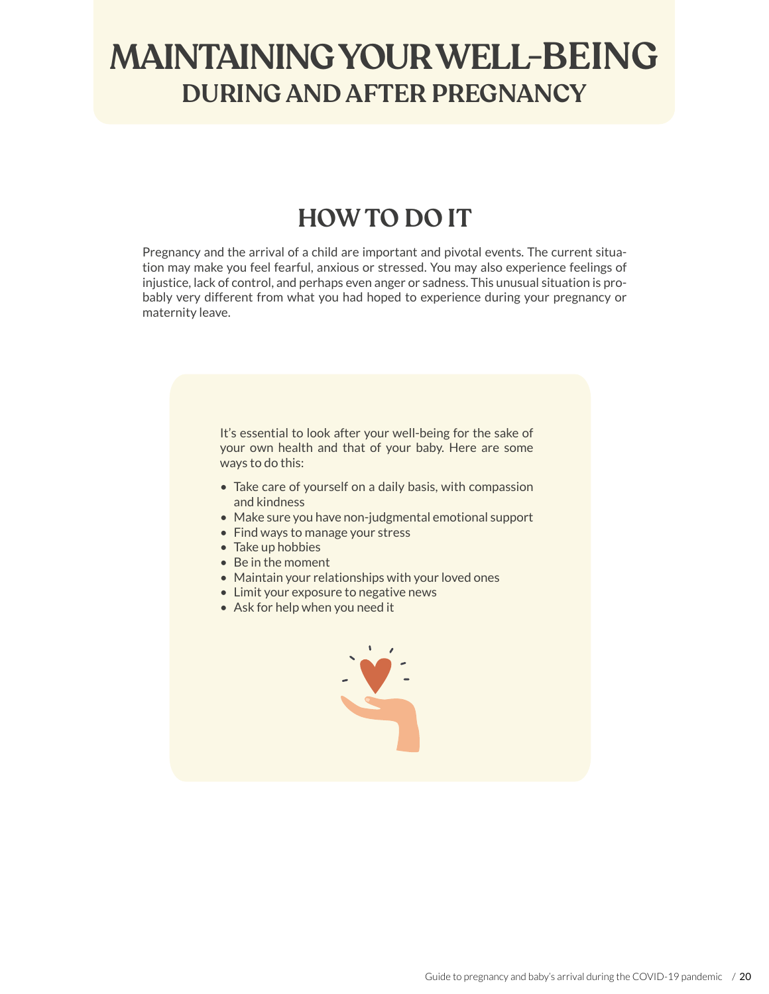# **MAINTAINING YOUR WELL-BEING DURING AND AFTER PREGNANCY**

## **HOW TO DO IT**

Pregnancy and the arrival of a child are important and pivotal events. The current situation may make you feel fearful, anxious or stressed. You may also experience feelings of injustice, lack of control, and perhaps even anger or sadness. This unusual situation is probably very different from what you had hoped to experience during your pregnancy or maternity leave.

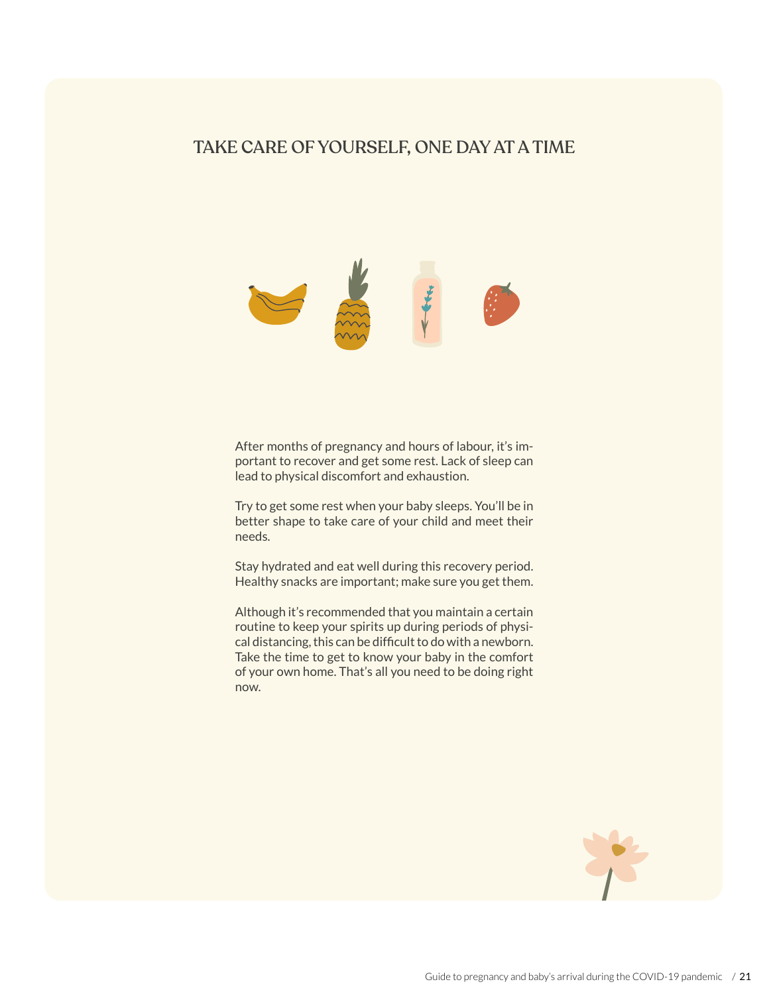#### TAKE CARE OF YOURSELF, ONE DAY AT A TIME



After months of pregnancy and hours of labour, it's important to recover and get some rest. Lack of sleep can lead to physical discomfort and exhaustion.

Try to get some rest when your baby sleeps. You'll be in better shape to take care of your child and meet their needs.

Stay hydrated and eat well during this recovery period. Healthy snacks are important; make sure you get them.

Although it's recommended that you maintain a certain routine to keep your spirits up during periods of physical distancing, this can be difficult to do with a newborn. Take the time to get to know your baby in the comfort of your own home. That's all you need to be doing right now.

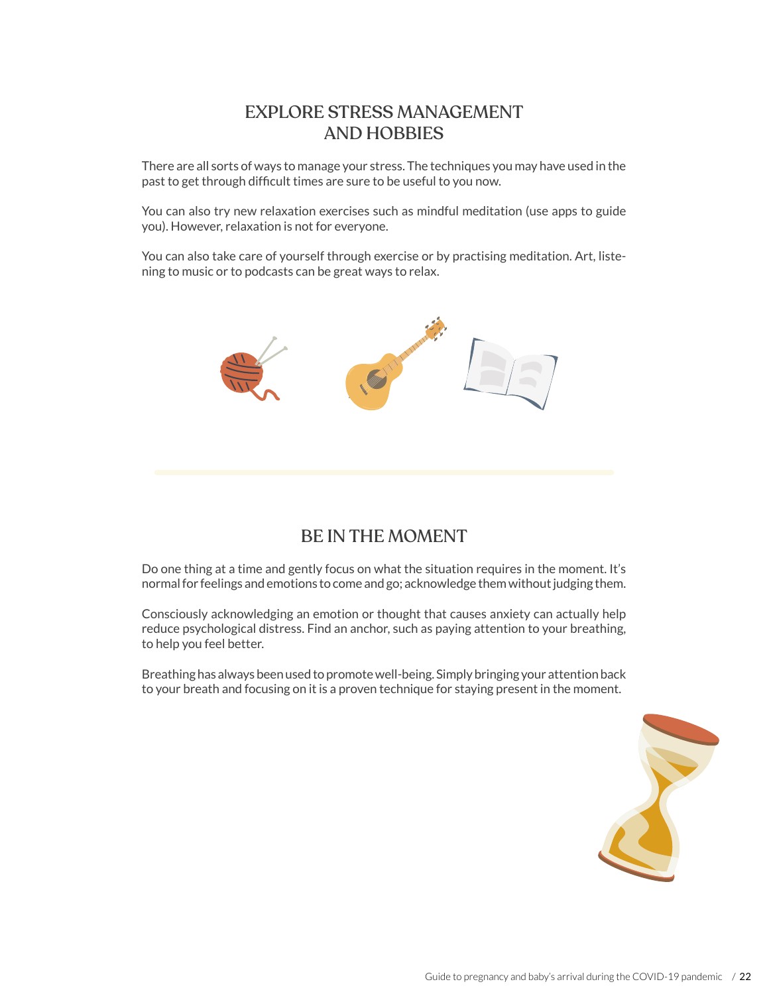### EXPLORE STRESS MANAGEMENT AND HOBBIES

There are all sorts of ways to manage your stress. The techniques you may have used in the past to get through difficult times are sure to be useful to you now.

You can also try new relaxation exercises such as mindful meditation (use apps to guide you). However, relaxation is not for everyone.

You can also take care of yourself through exercise or by practising meditation. Art, listening to music or to podcasts can be great ways to relax.



#### BE IN THE MOMENT

Do one thing at a time and gently focus on what the situation requires in the moment. It's normal for feelings and emotions to come and go; acknowledge them without judging them.

Consciously acknowledging an emotion or thought that causes anxiety can actually help reduce psychological distress. Find an anchor, such as paying attention to your breathing, to help you feel better.

Breathing has always been used to promote well-being. Simply bringing your attention back to your breath and focusing on it is a proven technique for staying present in the moment.

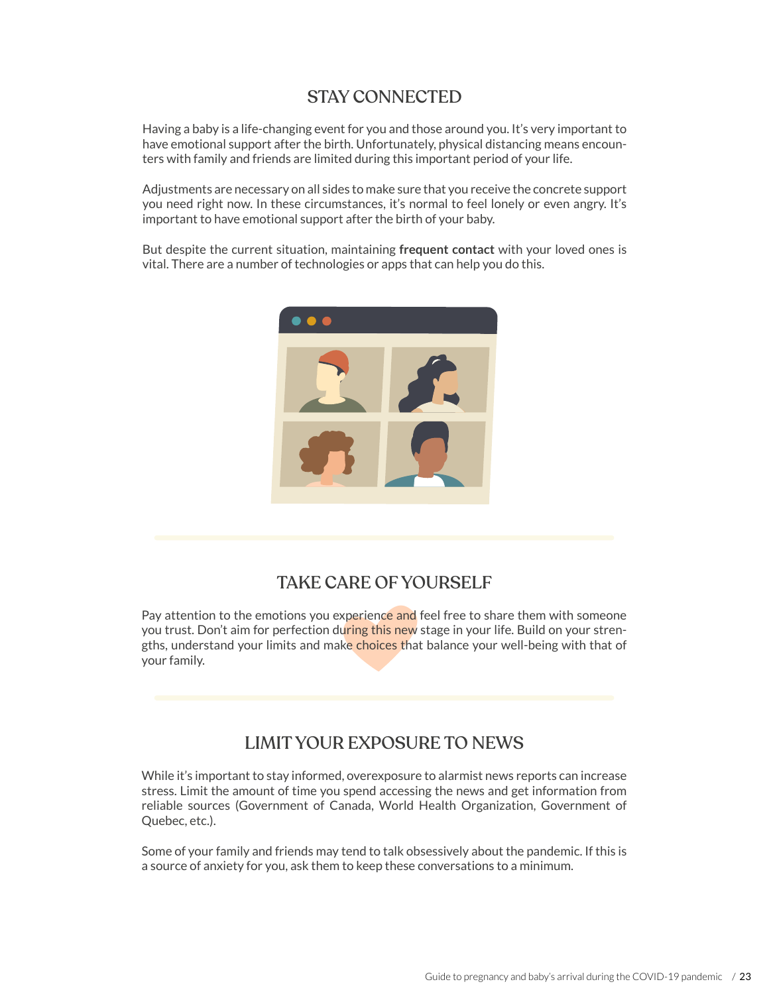#### STAY CONNECTED

Having a baby is a life-changing event for you and those around you. It's very important to have emotional support after the birth. Unfortunately, physical distancing means encounters with family and friends are limited during this important period of your life.

Adjustments are necessary on all sides to make sure that you receive the concrete support you need right now. In these circumstances, it's normal to feel lonely or even angry. It's important to have emotional support after the birth of your baby.

But despite the current situation, maintaining **frequent contact** with your loved ones is vital. There are a number of technologies or apps that can help you do this.



### TAKE CARE OF YOURSELF

Pay attention to the emotions you experience and feel free to share them with someone you trust. Don't aim for perfection during this new stage in your life. Build on your strengths, understand your limits and make choices that balance your well-being with that of your family.

### LIMIT YOUR EXPOSURE TO NEWS

While it's important to stay informed, overexposure to alarmist news reports can increase stress. Limit the amount of time you spend accessing the news and get information from reliable sources (Government of Canada, World Health Organization, Government of Quebec, etc.).

Some of your family and friends may tend to talk obsessively about the pandemic. If this is a source of anxiety for you, ask them to keep these conversations to a minimum.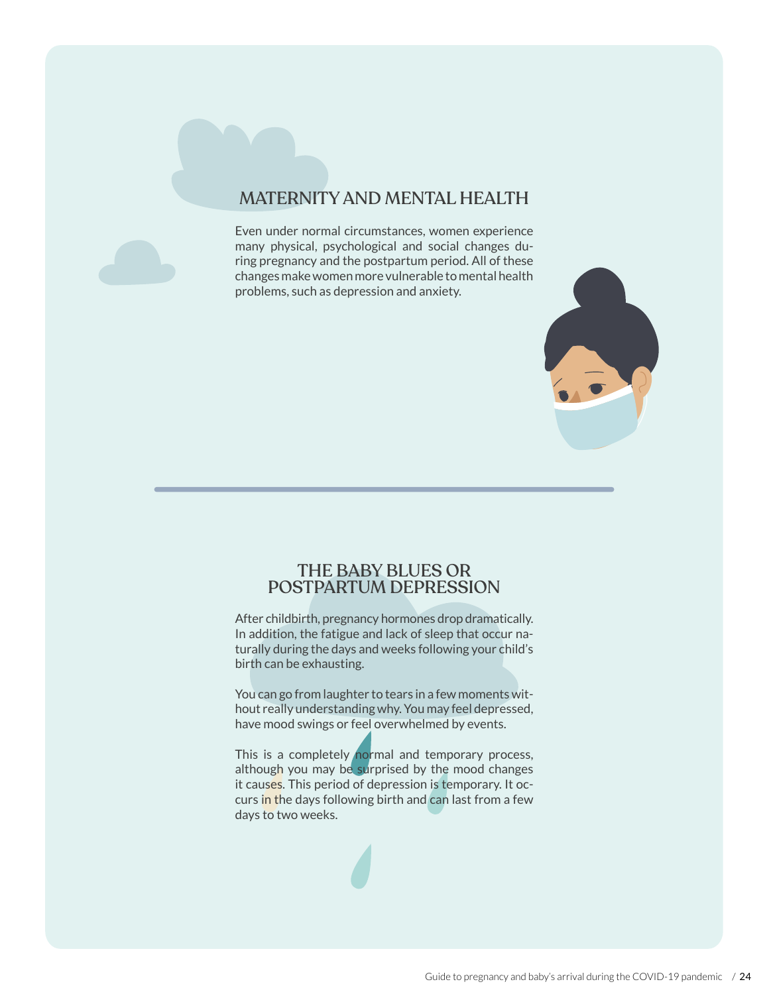### MATERNITY AND MENTAL HEALTH

Even under normal circumstances, women experience many physical, psychological and social changes during pregnancy and the postpartum period. All of these changes make women more vulnerable to mental health problems, such as depression and anxiety.



After childbirth, pregnancy hormones drop dramatically. In addition, the fatigue and lack of sleep that occur naturally during the days and weeks following your child's birth can be exhausting.

You can go from laughter to tears in a few moments without really understanding why. You may feel depressed, have mood swings or feel overwhelmed by events.

This is a completely normal and temporary process, although you may be surprised by the mood changes it causes. This period of depression is temporary. It occurs in the days following birth and can last from a few days to two weeks.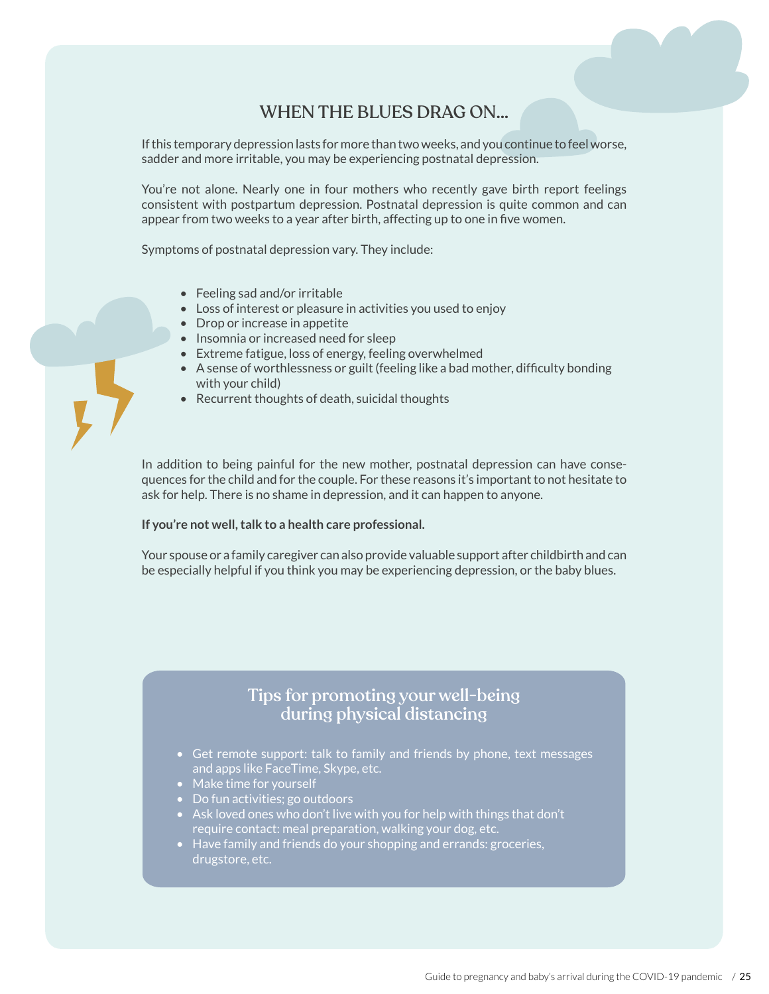#### WHEN THE BLUES DRAG ON…

If this temporary depression lasts for more than two weeks, and you continue to feel worse, sadder and more irritable, you may be experiencing postnatal depression.

You're not alone. Nearly one in four mothers who recently gave birth report feelings consistent with postpartum depression. Postnatal depression is quite common and can appear from two weeks to a year after birth, affecting up to one in five women.

Symptoms of postnatal depression vary. They include:

- Feeling sad and/or irritable
- Loss of interest or pleasure in activities you used to enjoy
- Drop or increase in appetite
- Insomnia or increased need for sleep
- Extreme fatigue, loss of energy, feeling overwhelmed
- A sense of worthlessness or guilt (feeling like a bad mother, difficulty bonding with your child)
- Recurrent thoughts of death, suicidal thoughts

In addition to being painful for the new mother, postnatal depression can have consequences for the child and for the couple. For these reasons it's important to not hesitate to ask for help. There is no shame in depression, and it can happen to anyone.

#### **If you're not well, talk to a health care professional.**

Your spouse or a family caregiver can also provide valuable support after childbirth and can be especially helpful if you think you may be experiencing depression, or the baby blues.

#### Tips for promoting your well-being during physical distancing

- $\bullet$  Get remote support: talk to family and friends by phone, text messages and apps like FaceTime, Skype, etc.
- Make time for yourself
- Do fun activities; go outdoors
- $\cdot$  Ask loved ones who don't live with you for help with things that don't require contact: meal preparation, walking your dog, etc.
- Have family and friends do your shopping and errands: groceries, drugstore, etc.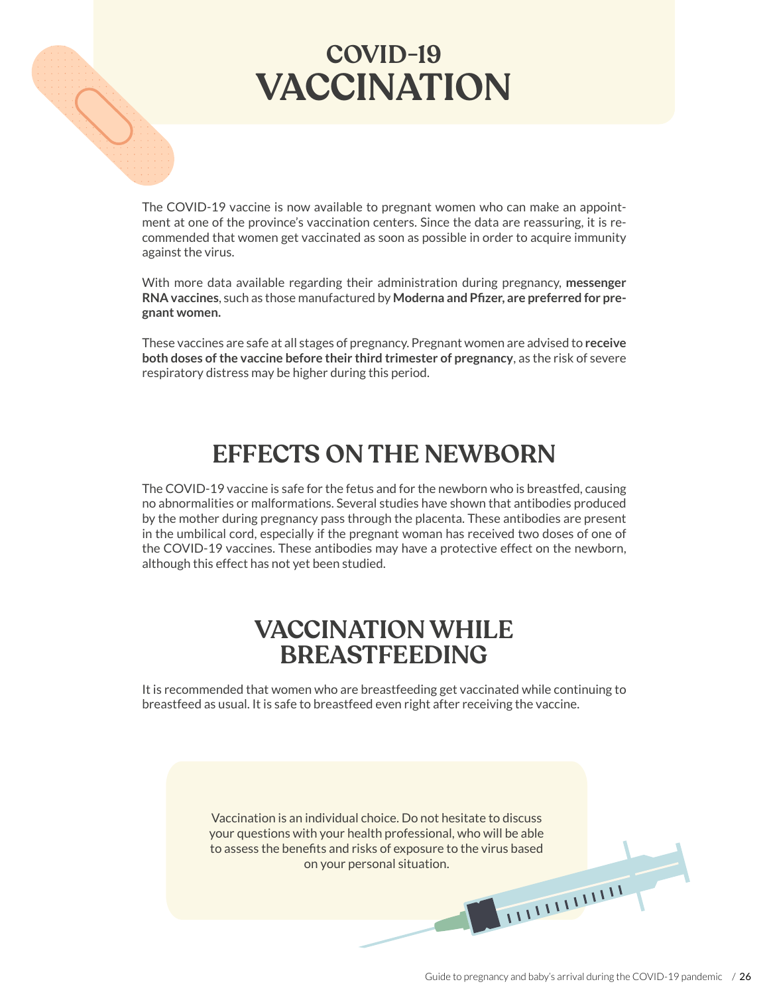

# **VACCINATION COVID-19**

The COVID-19 vaccine is now available to pregnant women who can make an appointment at one of the province's vaccination centers. Since the data are reassuring, it is recommended that women get vaccinated as soon as possible in order to acquire immunity against the virus.

With more data available regarding their administration during pregnancy, **messenger RNA vaccines**, such as those manufactured by **Moderna and Pfizer, are preferred for pregnant women.**

These vaccines are safe at all stages of pregnancy. Pregnant women are advised to **receive both doses of the vaccine before their third trimester of pregnancy**, as the risk of severe respiratory distress may be higher during this period.

## **EFFECTS ON THE NEWBORN**

The COVID-19 vaccine is safe for the fetus and for the newborn who is breastfed, causing no abnormalities or malformations. Several studies have shown that antibodies produced by the mother during pregnancy pass through the placenta. These antibodies are present in the umbilical cord, especially if the pregnant woman has received two doses of one of the COVID-19 vaccines. These antibodies may have a protective effect on the newborn, although this effect has not yet been studied.

## **VACCINATION WHILE BREASTFEEDING**

It is recommended that women who are breastfeeding get vaccinated while continuing to breastfeed as usual. It is safe to breastfeed even right after receiving the vaccine.

> Vaccination is an individual choice. Do not hesitate to discuss your questions with your health professional, who will be able to assess the benefits and risks of exposure to the virus based on your personal situation.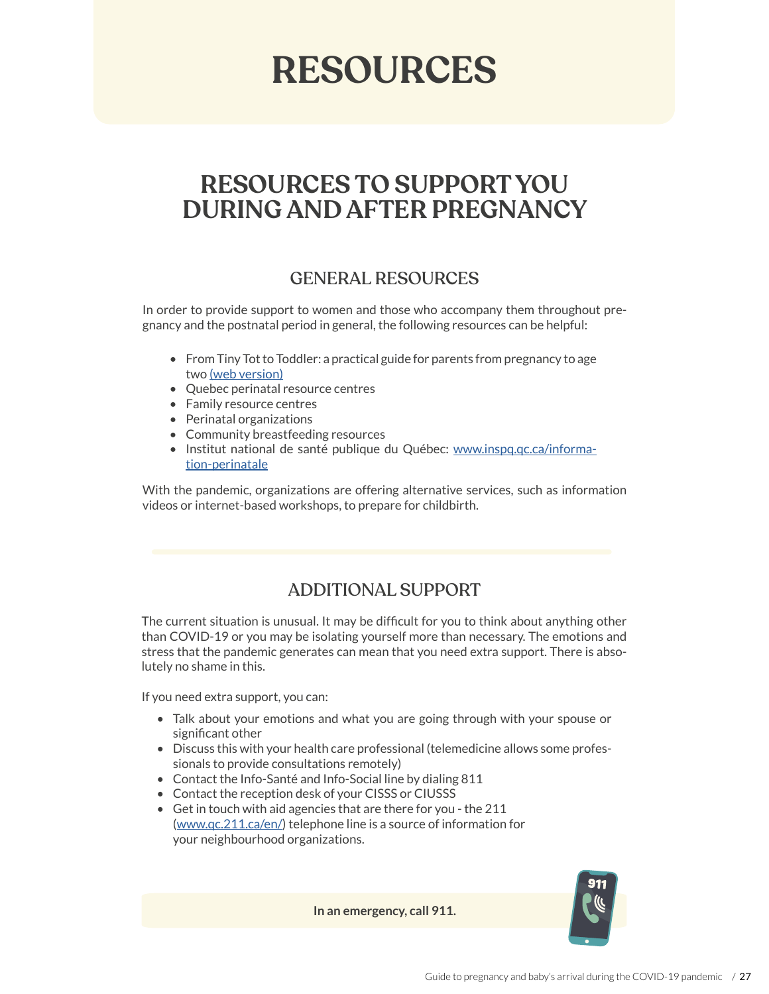# **RESOURCES**

## **RESOURCES TO SUPPORT YOU DURING AND AFTER PREGNANCY**

### GENERAL RESOURCES

In order to provide support to women and those who accompany them throughout pregnancy and the postnatal period in general, the following resources can be helpful:

- From Tiny Tot to Toddler: a practical guide for parents from pregnancy to age two [\(web version\)](https://www.inspq.qc.ca/en/tiny-tot/)
- Quebec perinatal resource centres
- Family resource centres
- Perinatal organizations
- Community breastfeeding resources
- Institut national de santé publique du Québec: [www.inspq.qc.ca/informa](http://www.inspq.qc.ca/information-perinatale)[tion-perinatale](http://www.inspq.qc.ca/information-perinatale)

With the pandemic, organizations are offering alternative services, such as information videos or internet-based workshops, to prepare for childbirth.

### ADDITIONAL SUPPORT

The current situation is unusual. It may be difficult for you to think about anything other than COVID-19 or you may be isolating yourself more than necessary. The emotions and stress that the pandemic generates can mean that you need extra support. There is absolutely no shame in this.

If you need extra support, you can:

- Talk about your emotions and what you are going through with your spouse or significant other
- Discuss this with your health care professional (telemedicine allows some professionals to provide consultations remotely)
- Contact the Info-Santé and Info-Social line by dialing 811
- Contact the reception desk of your CISSS or CIUSSS
- Get in touch with aid agencies that are there for you the 211 ([www.qc.211.ca/en/](http://www.qc.211.ca/en/)) telephone line is a source of information for your neighbourhood organizations.

**In an emergency, call 911.**

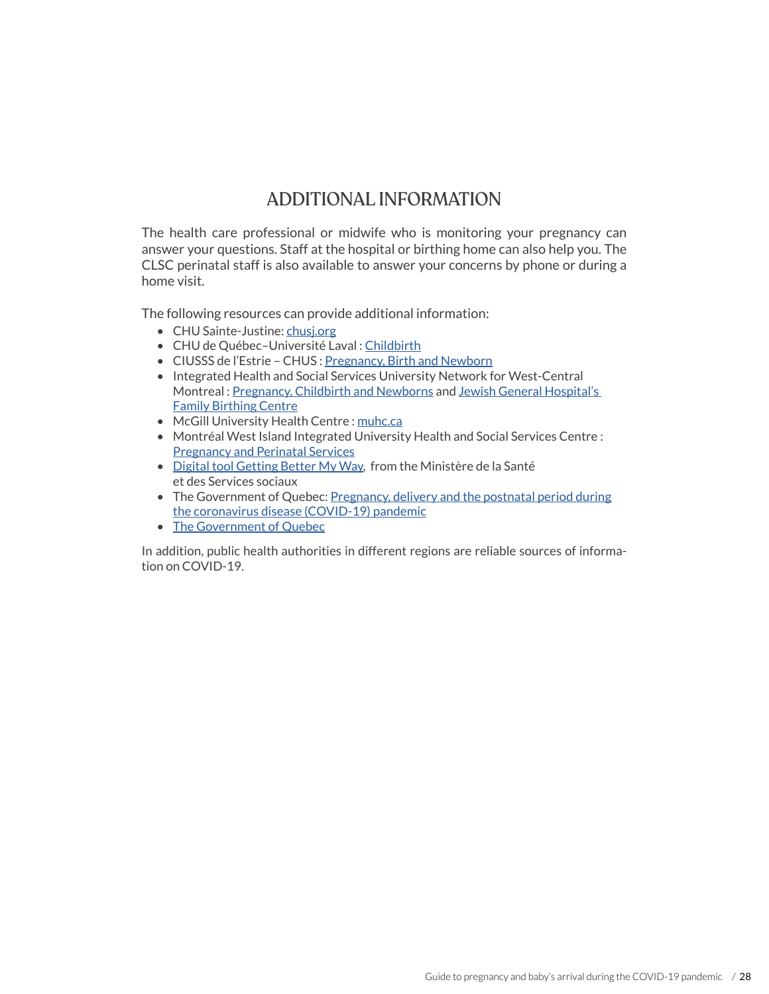## ADDITIONAL INFORMATION

The health care professional or midwife who is monitoring your pregnancy can answer your questions. Staff at the hospital or birthing home can also help you. The CLSC perinatal staff is also available to answer your concerns by phone or during a home visit.

The following resources can provide additional information:

- CHU Sainte-Justine: [chusj.org](https://www.chusj.org/)
- CHU de Québec-Université Laval : [Childbirth](https://www.chudequebec.ca/patient/me-preparer-a-accoucher.aspx)
- CIUSSS de l'Estrie CHUS : [Pregnancy, Birth and Newborn](https://www.santeestrie.qc.ca/en/care-services/themes/grossesse-accouchement/)
- Integrated Health and Social Services University Network for West-Central Montreal : [Pregnancy, Childbirth and Newborns](https://www.ciussswestcentral.ca/programs-and-services/children-families-and-youth/pregnancy-childbirth-and-newborns/) and [Jewish General Hospital's](https://www.jgh.ca/care-services/obstetrics-and-gynecology/family-birthing-centre/)  [Family Birthing Centre](https://www.jgh.ca/care-services/obstetrics-and-gynecology/family-birthing-centre/)
- McGill University Health Centre: [muhc.ca](https://muhc.ca/)
- Montréal West Island Integrated University Health and Social Services Centre : [Pregnancy and Perinatal Services](https://ciusss-ouestmtl.gouv.qc.ca/en/care-services/departments-programs/pregnancy-and-perinatal-services/)
- [Digital tool Getting Better My Way](https://www.quebec.ca/en/health/health-issues/a-z/2019-coronavirus/getting-better-my-way-digital-tool/), from the Ministère de la Santé et des Services sociaux
- The Government of Quebec: Pregnancy, delivery and the postnatal period during [the coronavirus disease \(COVID-19\) pandemic](https://www.quebec.ca/en/health/health-issues/a-z/2019-coronavirus/information-for-pregnant-women-coronavirus-covid-19/)
- [The Government of Quebec](https://www.quebec.ca/en/health/health-issues/a-z/2019-coronavirus/)

In addition, public health authorities in different regions are reliable sources of information on COVID-19.